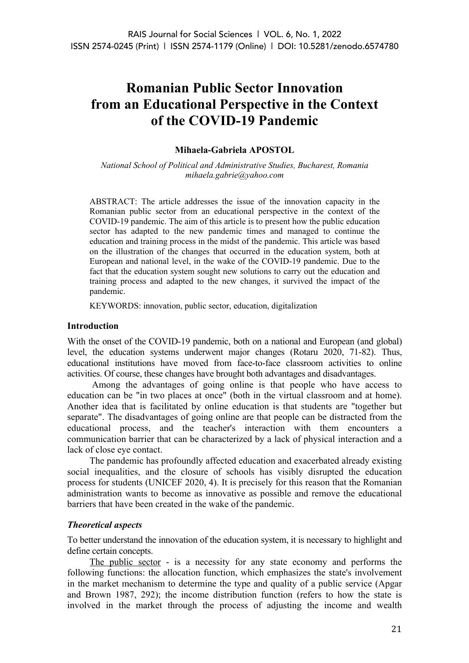# **Romanian Public Sector Innovation from an Educational Perspective in the Context of the COVID-19 Pandemic**

## **Mihaela-Gabriela APOSTOL**

*National School of Political and Administrative Studies, Bucharest, Romania mihaela.gabrie@yahoo.com*

ABSTRACT: The article addresses the issue of the innovation capacity in the Romanian public sector from an educational perspective in the context of the COVID-19 pandemic. The aim of this article is to present how the public education sector has adapted to the new pandemic times and managed to continue the education and training process in the midst of the pandemic. This article was based on the illustration of the changes that occurred in the education system, both at European and national level, in the wake of the COVID-19 pandemic. Due to the fact that the education system sought new solutions to carry out the education and training process and adapted to the new changes, it survived the impact of the pandemic.

KEYWORDS: innovation, public sector, education, digitalization

## **Introduction**

With the onset of the COVID-19 pandemic, both on a national and European (and global) level, the education systems underwent major changes (Rotaru 2020, 71-82). Thus, educational institutions have moved from face-to-face classroom activities to online activities. Of course, these changes have brought both advantages and disadvantages.

Among the advantages of going online is that people who have access to education can be "in two places at once" (both in the virtual classroom and at home). Another idea that is facilitated by online education is that students are "together but separate". The disadvantages of going online are that people can be distracted from the educational process, and the teacher's interaction with them encounters a communication barrier that can be characterized by a lack of physical interaction and a lack of close eye contact.

The pandemic has profoundly affected education and exacerbated already existing social inequalities, and the closure of schools has visibly disrupted the education process for students (UNICEF 2020, 4). It is precisely for this reason that the Romanian administration wants to become as innovative as possible and remove the educational barriers that have been created in the wake of the pandemic.

## *Theoretical aspects*

To better understand the innovation of the education system, it is necessary to highlight and define certain concepts.

The public sector - is a necessity for any state economy and performs the following functions: the allocation function, which emphasizes the state's involvement in the market mechanism to determine the type and quality of a public service (Apgar and Brown 1987, 292); the income distribution function (refers to how the state is involved in the market through the process of adjusting the income and wealth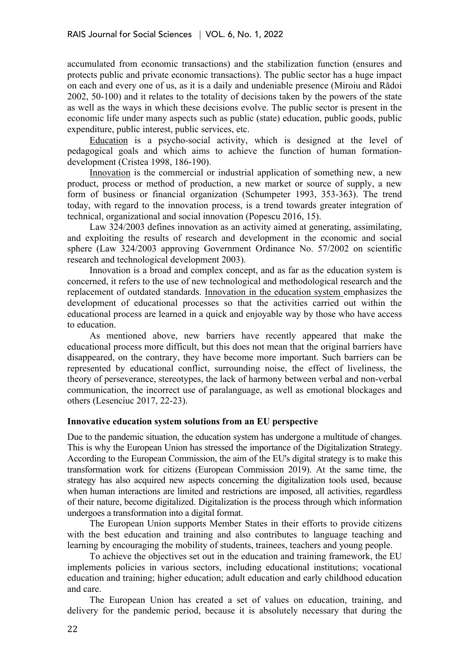accumulated from economic transactions) and the stabilization function (ensures and protects public and private economic transactions). The public sector has a huge impact on each and every one of us, as it is a daily and undeniable presence (Miroiu and Rădoi 2002, 50-100) and it relates to the totality of decisions taken by the powers of the state as well as the ways in which these decisions evolve. The public sector is present in the economic life under many aspects such as public (state) education, public goods, public expenditure, public interest, public services, etc.

Education is a psycho-social activity, which is designed at the level of pedagogical goals and which aims to achieve the function of human formationdevelopment (Cristea 1998, 186-190).

Innovation is the commercial or industrial application of something new, a new product, process or method of production, a new market or source of supply, a new form of business or financial organization (Schumpeter 1993, 353-363). The trend today, with regard to the innovation process, is a trend towards greater integration of technical, organizational and social innovation (Popescu 2016, 15).

Law 324/2003 defines innovation as an activity aimed at generating, assimilating, and exploiting the results of research and development in the economic and social sphere (Law 324/2003 approving Government Ordinance No. 57/2002 on scientific research and technological development 2003).

Innovation is a broad and complex concept, and as far as the education system is concerned, it refers to the use of new technological and methodological research and the replacement of outdated standards. Innovation in the education system emphasizes the development of educational processes so that the activities carried out within the educational process are learned in a quick and enjoyable way by those who have access to education.

As mentioned above, new barriers have recently appeared that make the educational process more difficult, but this does not mean that the original barriers have disappeared, on the contrary, they have become more important. Such barriers can be represented by educational conflict, surrounding noise, the effect of liveliness, the theory of perseverance, stereotypes, the lack of harmony between verbal and non-verbal communication, the incorrect use of paralanguage, as well as emotional blockages and others (Lesenciuc 2017, 22-23).

## **Innovative education system solutions from an EU perspective**

Due to the pandemic situation, the education system has undergone a multitude of changes. This is why the European Union has stressed the importance of the Digitalization Strategy. According to the European Commission, the aim of the EU's digital strategy is to make this transformation work for citizens (European Commission 2019). At the same time, the strategy has also acquired new aspects concerning the digitalization tools used, because when human interactions are limited and restrictions are imposed, all activities, regardless of their nature, become digitalized. Digitalization is the process through which information undergoes a transformation into a digital format.

The European Union supports Member States in their efforts to provide citizens with the best education and training and also contributes to language teaching and learning by encouraging the mobility of students, trainees, teachers and young people.

To achieve the objectives set out in the education and training framework, the EU implements policies in various sectors, including educational institutions; vocational education and training; higher education; adult education and early childhood education and care.

The European Union has created a set of values on education, training, and delivery for the pandemic period, because it is absolutely necessary that during the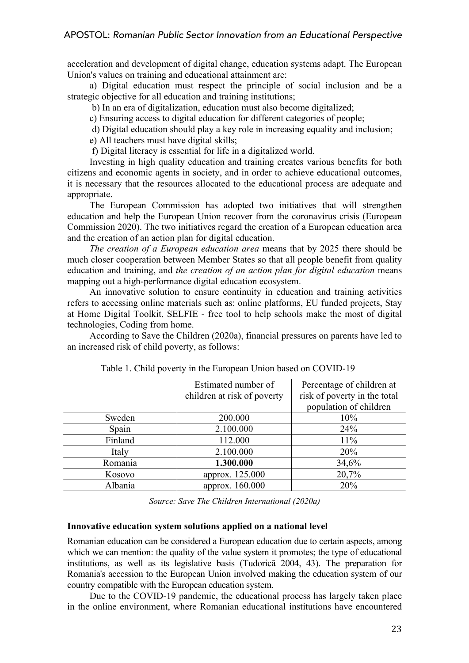acceleration and development of digital change, education systems adapt. The European Union's values on training and educational attainment are:

a) Digital education must respect the principle of social inclusion and be a strategic objective for all education and training institutions;

b) In an era of digitalization, education must also become digitalized;

c) Ensuring access to digital education for different categories of people;

d) Digital education should play a key role in increasing equality and inclusion;

e) All teachers must have digital skills;

f) Digital literacy is essential for life in a digitalized world.

Investing in high quality education and training creates various benefits for both citizens and economic agents in society, and in order to achieve educational outcomes, it is necessary that the resources allocated to the educational process are adequate and appropriate.

The European Commission has adopted two initiatives that will strengthen education and help the European Union recover from the coronavirus crisis (European Commission 2020). The two initiatives regard the creation of a European education area and the creation of an action plan for digital education.

*The creation of a European education area* means that by 2025 there should be much closer cooperation between Member States so that all people benefit from quality education and training, and *the creation of an action plan for digital education* means mapping out a high-performance digital education ecosystem.

An innovative solution to ensure continuity in education and training activities refers to accessing online materials such as: online platforms, EU funded projects, Stay at Home Digital Toolkit, SELFIE - free tool to help schools make the most of digital technologies, Coding from home.

According to Save the Children (2020a), financial pressures on parents have led to an increased risk of child poverty, as follows:

|         | Estimated number of         | Percentage of children at    |
|---------|-----------------------------|------------------------------|
|         | children at risk of poverty | risk of poverty in the total |
|         |                             | population of children       |
| Sweden  | 200.000                     | 10%                          |
| Spain   | 2.100.000                   | 24%                          |
| Finland | 112.000                     | 11%                          |
| Italy   | 2.100.000                   | 20%                          |
| Romania | 1.300.000                   | 34,6%                        |
| Kosovo  | approx. 125.000             | 20,7%                        |
| Albania | approx. 160.000             | 20%                          |

Table 1. Child poverty in the European Union based on COVID-19

*Source: Save The Children International (2020a)*

## **Innovative education system solutions applied on a national level**

Romanian education can be considered a European education due to certain aspects, among which we can mention: the quality of the value system it promotes; the type of educational institutions, as well as its legislative basis (Tudorică 2004, 43). The preparation for Romania's accession to the European Union involved making the education system of our country compatible with the European education system.

Due to the COVID-19 pandemic, the educational process has largely taken place in the online environment, where Romanian educational institutions have encountered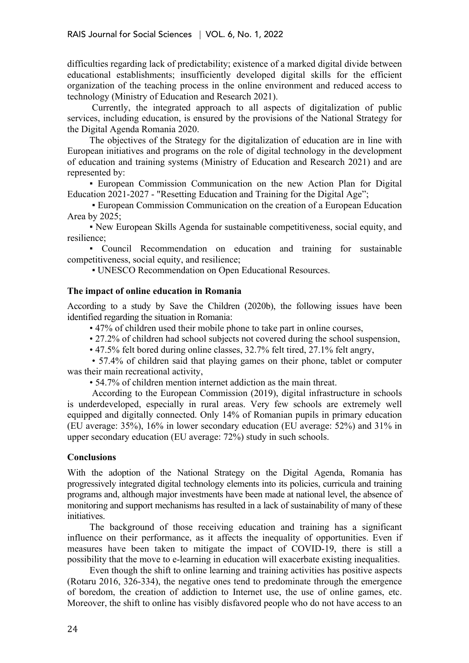difficulties regarding lack of predictability; existence of a marked digital divide between educational establishments; insufficiently developed digital skills for the efficient organization of the teaching process in the online environment and reduced access to technology (Ministry of Education and Research 2021).

Currently, the integrated approach to all aspects of digitalization of public services, including education, is ensured by the provisions of the National Strategy for the Digital Agenda Romania 2020.

The objectives of the Strategy for the digitalization of education are in line with European initiatives and programs on the role of digital technology in the development of education and training systems (Ministry of Education and Research 2021) and are represented by:

▪ European Commission Communication on the new Action Plan for Digital Education 2021-2027 - "Resetting Education and Training for the Digital Age";

▪ European Commission Communication on the creation of a European Education Area by 2025;

▪ New European Skills Agenda for sustainable competitiveness, social equity, and resilience;

▪ Council Recommendation on education and training for sustainable competitiveness, social equity, and resilience;

▪ UNESCO Recommendation on Open Educational Resources.

## **The impact of online education in Romania**

According to a study by Save the Children (2020b), the following issues have been identified regarding the situation in Romania:

• 47% of children used their mobile phone to take part in online courses,

• 27.2% of children had school subjects not covered during the school suspension,

• 47.5% felt bored during online classes, 32.7% felt tired, 27.1% felt angry,

• 57.4% of children said that playing games on their phone, tablet or computer was their main recreational activity,

• 54.7% of children mention internet addiction as the main threat.

According to the European Commission (2019), digital infrastructure in schools is underdeveloped, especially in rural areas. Very few schools are extremely well equipped and digitally connected. Only 14% of Romanian pupils in primary education (EU average: 35%), 16% in lower secondary education (EU average: 52%) and 31% in upper secondary education (EU average: 72%) study in such schools.

## **Conclusions**

With the adoption of the National Strategy on the Digital Agenda, Romania has progressively integrated digital technology elements into its policies, curricula and training programs and, although major investments have been made at national level, the absence of monitoring and support mechanisms has resulted in a lack of sustainability of many of these initiatives.

The background of those receiving education and training has a significant influence on their performance, as it affects the inequality of opportunities. Even if measures have been taken to mitigate the impact of COVID-19, there is still a possibility that the move to e-learning in education will exacerbate existing inequalities.

Even though the shift to online learning and training activities has positive aspects (Rotaru 2016, 326-334), the negative ones tend to predominate through the emergence of boredom, the creation of addiction to Internet use, the use of online games, etc. Moreover, the shift to online has visibly disfavored people who do not have access to an